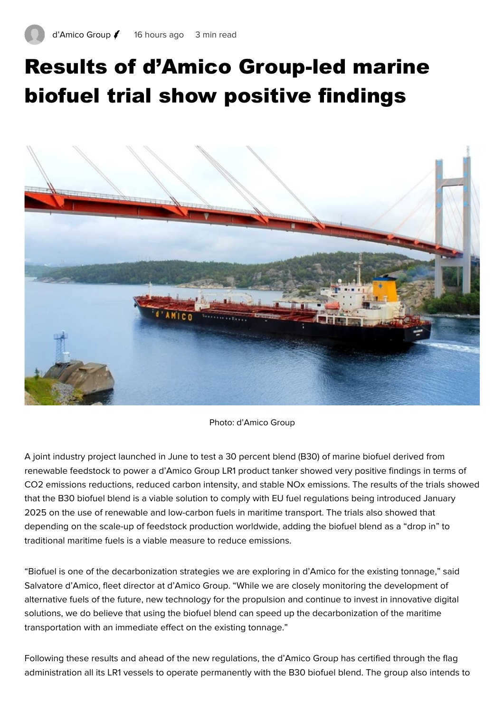## Results of d'Amico Group-led marine biofuel trial show positive findings



Photo: d'Amico Group

A joint industry project launched in June to test a 30 percent blend (B30) of marine biofuel derived from renewable feedstock to power a d'Amico Group LR1 product tanker showed very positive findings in terms of CO2 emissions reductions, reduced carbon intensity, and stable NOx emissions. The results of the trials showed that the B30 biofuel blend is a viable solution to comply with EU fuel regulations being introduced January 2025 on the use of renewable and low-carbon fuels in maritime transport. The trials also showed that depending on the scale-up of feedstock production worldwide, adding the biofuel blend as a "drop in" to traditional maritime fuels is a viable measure to reduce emissions.

"Biofuel is one of the decarbonization strategies we are exploring in d'Amico for the existing tonnage," said Salvatore d'Amico, fleet director at d'Amico Group. "While we are closely monitoring the development of alternative fuels of the future, new technology for the propulsion and continue to invest in innovative digital solutions, we do believe that using the biofuel blend can speed up the decarbonization of the maritime transportation with an immediate effect on the existing tonnage."

Following these results and ahead of the new regulations, the d'Amico Group has certified through the flag administration all its LR1 vessels to operate permanently with the B30 biofuel blend. The group also intends to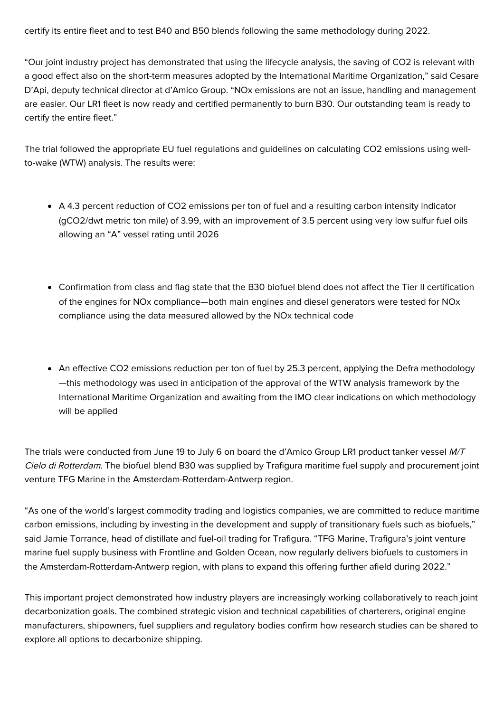certify its entire fleet and to test B40 and B50 blends following the same methodology during 2022.

"Our joint industry project has demonstrated that using the lifecycle analysis, the saving of CO2 is relevant with a good effect also on the short-term measures adopted by the International Maritime Organization," said Cesare D'Api, deputy technical director at d'Amico Group. "NOx emissions are not an issue, handling and management are easier. Our LR1 fleet is now ready and certified permanently to burn B30. Our outstanding team is ready to certify the entire fleet."

The trial followed the appropriate EU fuel regulations and guidelines on calculating CO2 emissions using wellto-wake (WTW) analysis. The results were:

- A 4.3 percent reduction of CO2 emissions per ton of fuel and a resulting carbon intensity indicator (gCO2/dwt metric ton mile) of 3.99, with an improvement of 3.5 percent using very low sulfur fuel oils allowing an "A" vessel rating until 2026
- Confirmation from class and flag state that the B30 biofuel blend does not affect the Tier II certification of the engines for NOx compliance—both main engines and diesel generators were tested for NOx compliance using the data measured allowed by the NOx technical code
- An effective CO2 emissions reduction per ton of fuel by 25.3 percent, applying the Defra methodology —this methodology was used in anticipation of the approval of the WTW analysis framework by the International Maritime Organization and awaiting from the IMO clear indications on which methodology will be applied

The trials were conducted from June 19 to July 6 on board the d'Amico Group LR1 product tanker vessel M/T Cielo di Rotterdam. The biofuel blend B30 was supplied by Trafigura maritime fuel supply and procurement joint venture TFG Marine in the Amsterdam-Rotterdam-Antwerp region.

"As one of the world's largest commodity trading and logistics companies, we are committed to reduce maritime carbon emissions, including by investing in the development and supply of transitionary fuels such as biofuels," said Jamie Torrance, head of distillate and fuel-oil trading for Trafigura. "TFG Marine, Trafigura's joint venture marine fuel supply business with Frontline and Golden Ocean, now regularly delivers biofuels to customers in the Amsterdam-Rotterdam-Antwerp region, with plans to expand this offering further afield during 2022."

This important project demonstrated how industry players are increasingly working collaboratively to reach joint decarbonization goals. The combined strategic vision and technical capabilities of charterers, original engine manufacturers, shipowners, fuel suppliers and regulatory bodies confirm how research studies can be shared to explore all options to decarbonize shipping.